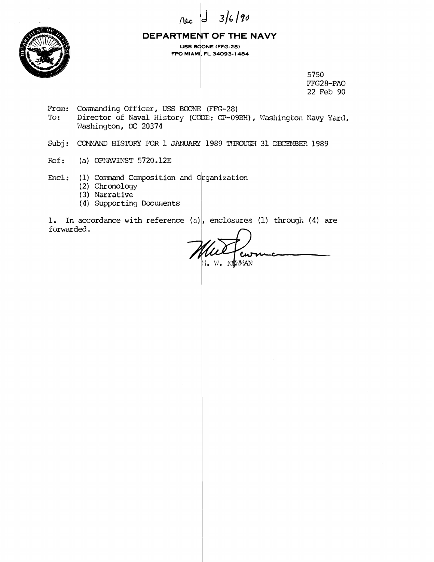



#### DEPARTMENT OF THE NAVY

USS BOONE (FFG-28) FPO MIAMI, FL 34093-1484

> 5750 FFG28-PAO 22 Feb 90

- From: Commanding Officer, USS BOONE (FFG-28) To: Director of Naval History (CODE: OP-09BH), Washington Navy Yard, Washington, DC 20374
- Subj: COMAND HISTORY FOR 1 JANUARY 1989 THROUGH 31 DECEMBER 1989
- Ref: (a) OPNAVINST  $5720.12E$
- Encl: (1) Command Composition and Organization
	- (2) Chronology
	- $(3)$  Narrative
	- (4) Supporting Documents

1. In accordance with reference (a), enclosures (1) through (4) are forwarded.

M. W. NIWAN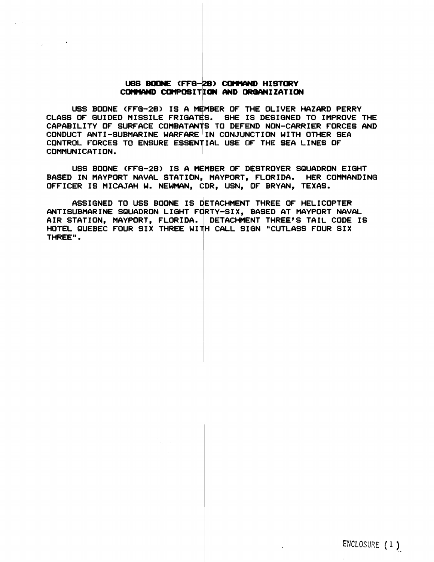#### USS BOONE (FFG-28) COMMAND HISTORY COMMAND COMPOSITION AND ORGANIZATION

 $\sim$   $\sim$ 

USS BOONE (FFG-28) IS A MEMBER OF THE OLIVER HAZARD PERRY CLASS OF GUIDED MISSILE FRIGATES. SHE IS DESIGNED TO IMPROVE THE CAPABILITY OF SURFACE COMBATANTS TO DEFEND NON-CARRIER FORCE6 AND CONDUCT ANTI-SUBMARINE WARFARE IN CONJUNCTION WITH OTHER SEA CONTROL FORCES TO ENSURE ESSENTIAL USE OF THE SEA LINES OF<br>COMMUNICATION.

USS BODNE (FFQ-28) IS A MEMBER OF DESTROYER SQUADRON EIQHT BASED IN NAYPORT NAVAL STATION, MAYPORT, FLORIDA. HER COMMANDING OFFICER IS MICAJAH **W.** NEWMAN, (tDR, USN, OF BRYAN, TEXAS.

ASSIGNED TO USS BOONE IS DETACHMENT THREE OF HELICOPTER ANTISUBMARINE SQUADRON LIGHT FORTY-SIX, BASED AT MAYPORT NAVAL AIR STATION, MAYPORT, FLORIDA. DETACHMEMT THREE'S TAIL CODE IS HOTEL QUEBEC FOUR SIX THREE WITH CALL SIGN "CUTLASS FOUR SIX"<br>THREE".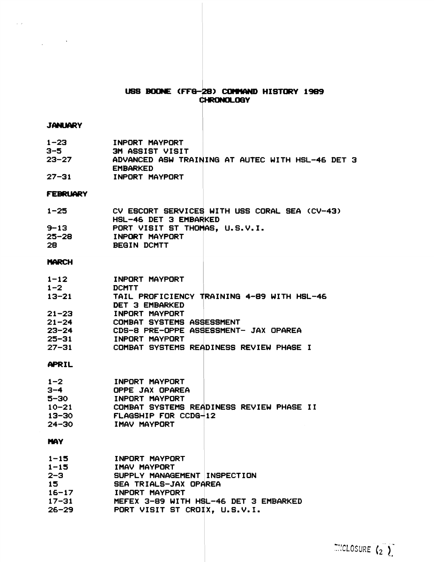## USS BOONE (FFG-28) CONNAND HISTORY 1989 CHRONOLOGY

#### **JANUARY**

 $\sim 10^{10}$  and  $\sim 10^{10}$ 

 $\lambda$  ,  $\lambda$ 

| $1 - 23$  | INPORT MAYPORT                                   |
|-----------|--------------------------------------------------|
| 3-5       | <b>3M ASSIST VISIT</b>                           |
| $23 - 27$ | ADVANCED ASW TRAINING AT AUTEC WITH HSL-46 DET 3 |
|           | <b>EMBARKED</b>                                  |
| $27 - 31$ | INPORT MAYPORT                                   |

#### **FEBRUARY**

| $1 - 25$  | CV ESCORT SERVICES WITH USS CORAL SEA (CV-43) |
|-----------|-----------------------------------------------|
|           | HSL-46 DET 3 EMBARKED                         |
| $9 - 13$  | PORT VISIT ST THOMAS, U.S.V.I.                |
| $25 - 28$ | INPORT MAYPORT                                |
| 28        | BEGIN DCMTT                                   |

### **MARCH**

| $1 - 12$  | INPORT MAYPORT                             |
|-----------|--------------------------------------------|
| $1 - 2$   | <b>DCMTT</b>                               |
| $13 - 21$ | TAIL PROFICIENCY TRAINING 4-89 WITH HSL-46 |
|           | DET 3 EMBARKED                             |
| $21 - 23$ | INPORT MAYPORT                             |
| $21 - 24$ | <b>COMBAT SYSTEMS ASSESSMENT</b>           |
| $23 - 24$ | CDS-8 PRE-OPPE ASSESSMENT- JAX OPAREA      |
| $25 - 31$ | INPORT MAYPORT                             |
| $27 - 31$ | COMBAT SYSTEMS READINESS REVIEW PHASE I    |

#### APRIL

| $1 - 2$   | INPORT MAYPORT                           |
|-----------|------------------------------------------|
| 3-4       | OPPE JAX OPAREA                          |
| 5–30      | INPORT MAYPORT                           |
| $10 - 21$ | COMBAT SYSTEMS READINESS REVIEW PHASE II |
| $13 - 30$ | FLAGSHIP FOR CCDG-12                     |
| 24–30     | IMAV MAYPORT                             |

# **MAY**

| $1 - 15$  | INPORT MAYPORT                        |
|-----------|---------------------------------------|
| $1 - 15$  | IMAV MAYPORT                          |
| 2-3       | SUPPLY MANAGEMENT INSPECTION          |
| 15        | SEA TRIALS-JAX OPAREA                 |
| $16 - 17$ | INPORT MAYPORT                        |
| $17 - 31$ | MEFEX 3-89 WITH HSL-46 DET 3 EMBARKED |
| 26–29.    | PORT VISIT ST CROIX, U.S.V.I.         |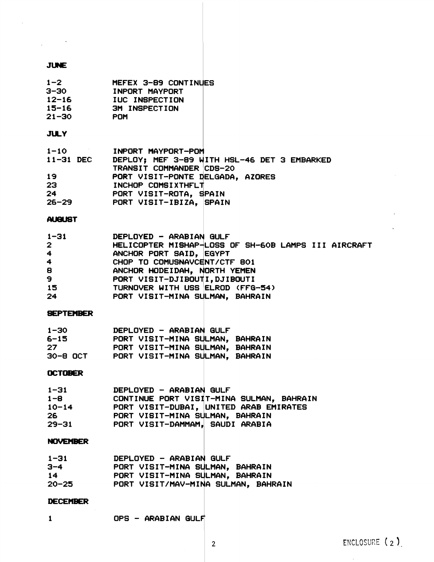# **JUNE**

| $1-2$<br>POM<br>$21 - 30$                                                 | MEFEX 3-89 CONTINUES<br>3-30 INPORT MAYPORT<br>12-16 IUC INSPECTION<br>15-16 3M INSPECTION                                                                                                                                 |                                                     |
|---------------------------------------------------------------------------|----------------------------------------------------------------------------------------------------------------------------------------------------------------------------------------------------------------------------|-----------------------------------------------------|
| <b>JULY</b>                                                               |                                                                                                                                                                                                                            |                                                     |
| $1-10$<br>$11-31$ DEC<br>19                                               | INPORT MAYPORT-POM<br>DEPLOY; MEF 3-89 WITH HSL-46 DET 3 EMBARKED<br>TRANSIT COMMANDER CDS-20<br>PORT VISIT-PONTE DELGADA, AZORES<br>23<br>24 PORT VISIT-ROTA, SPAIN<br>26-29 PORT VISIT-IBIZA, SPAIN                      |                                                     |
| <b>AUGUST</b>                                                             |                                                                                                                                                                                                                            |                                                     |
| $1 - 31$<br>$\mathbf{2}$<br>$4 -$<br>$\overline{4}$<br>8<br>9<br>15<br>24 | DEPLOYED - ARABIAN GULF<br>ANCHOR PORT SAID, EGYPT<br>CHOP TO COMUSNAVCENT/CTF 801<br>ANCHOR HODEIDAH, NORTH YEMEN<br>PORT VISIT-DJIBOUTI, DJIBOUTI<br>TURNOVER WITH USS ELROD (FFG-54)<br>PORT VISIT-MINA SULMAN, BAHRAIN | HELICOPTER MISHAP-LOSS OF SH-60B LAMPS III AIRCRAFT |
| <b>SEPTEMBER</b>                                                          |                                                                                                                                                                                                                            |                                                     |
| $-30$<br>6-15<br>27                                                       | 1-30 DEPLOYED - ARABIAN GULF<br>PORT VISIT-MINA SULMAN, BAHRAIN<br>PORT VISIT-MINA SULMAN, BAHRAIN<br>30-8 OCT PORT VISIT-MINA SULMAN, BAHRAIN                                                                             |                                                     |
| <b>OCTOBER</b>                                                            |                                                                                                                                                                                                                            |                                                     |
| $1 - 31$<br>$1 - 8$<br>$10 - 14$<br>26<br>$29 - 31$                       | DEPLOYED - ARABIAN GULF<br>CONTINUE PORT VISIT-MINA SULMAN, BAHRAIN<br>PORT VISIT-DUBAI, UNITED ARAB EMIRATES<br>PORT VISIT-MINA SULMAN, BAHRAIN<br>PORT VISIT-DAMMAM, SAUDI ARABIA                                        |                                                     |
| <b>NOVEMBER</b>                                                           |                                                                                                                                                                                                                            |                                                     |
| $1 - 31$<br>$3 - 4$<br>14<br>$20 - 25$                                    | DEPLOYED - ARABIAN GULF<br>PORT VISIT-MINA SULMAN, BAHRAIN<br>PORT VISIT-MINA SULMAN. BAHRAIN<br>PORT VISIT/MAV-MINA SULMAN, BAHRAIN                                                                                       |                                                     |
| <b>DECEMBER</b>                                                           |                                                                                                                                                                                                                            |                                                     |
| $\mathbf{1}$                                                              | OPS - ARABIAN GULF                                                                                                                                                                                                         |                                                     |

 $\sim 100$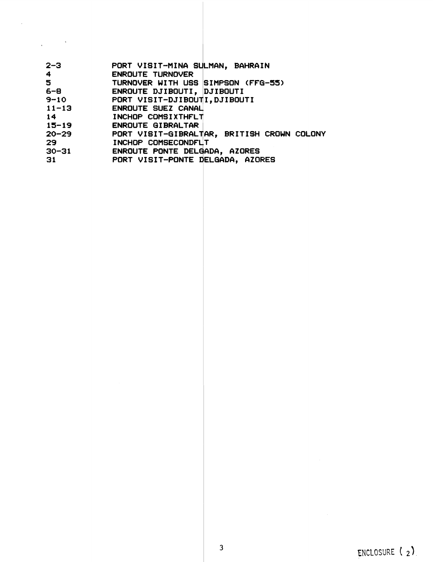| $2 - 3$    | PORT VISIT-MINA SULMAN, BAHRAIN            |
|------------|--------------------------------------------|
| $\ddot{4}$ | <b>ENROUTE TURNOVER</b>                    |
| 5          | TURNOVER WITH USS SIMPSON (FFG-55)         |
| $6 - 8$    | ENROUTE DJIBOUTI, DJIBOUTI                 |
| $9 - 10$   | PORT VISIT-DJIBOUTI, DJIBOUTI              |
| $11 - 13$  | <b>ENROUTE SUEZ CANAL</b>                  |
| 14         | INCHOP COMSIXTHFLT                         |
| $15 - 19$  | ENROUTE GIBRALTAR                          |
| $20 - 29$  | PORT VISIT-GIBRALTAR, BRITISH CROWN COLONY |
| 29         | INCHOP COMSECONDFLIT                       |
| $30 - 31$  | ENROUTE PONTE DELGADA, AZORES              |
| 31         | PORT VISIT-PONTE DELGADA, AZORES           |

 $\overline{\mathcal{E}}$ 

 $\label{eq:2.1} \frac{1}{\sqrt{2\pi}}\int_{\mathbb{R}^{2}}\frac{1}{\sqrt{2\pi}}\int_{\mathbb{R}^{2}}\frac{1}{\sqrt{2\pi}}\int_{\mathbb{R}^{2}}\frac{1}{\sqrt{2\pi}}\int_{\mathbb{R}^{2}}\frac{1}{\sqrt{2\pi}}\int_{\mathbb{R}^{2}}\frac{1}{\sqrt{2\pi}}\int_{\mathbb{R}^{2}}\frac{1}{\sqrt{2\pi}}\int_{\mathbb{R}^{2}}\frac{1}{\sqrt{2\pi}}\int_{\mathbb{R}^{2}}\frac{1}{\sqrt{2\pi}}\int_{\mathbb{$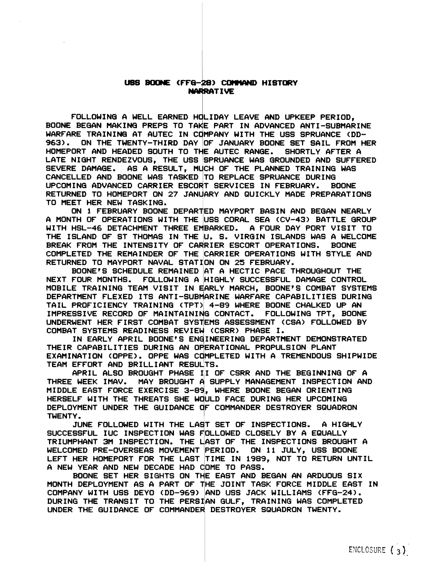FOLLOWING A WELL EARNED HOLIDAY LEAVE AND UPKEEP PERIOD, USS BOONE (FFG-28) COMMAND HISTORY<br>FOLLOWING A WELL EARNED HOLIDAY LEAVE AND UPKEEP PERIOD,<br>BOONE BEGAN MAKING PREPS TO TAKE PART IN ADVANCED ANTI-SUBMARINE WARFARE TRAINING AT AUTEC IN COMPANY WITH THE USS SPRUANCE (DD-963). OM THE TWENTY-THIRD DAY OF JANUARY BOONE SET SAIL FROM HER HOMEPORT AND HEADED SOUTH TO THE AUTEC RANGE. SHORTLY AFTER A LATE NIGHT RENDEZVOUS, THE USS SPRUANCE WAS GROUNDED AND SUFFERED SEVERE DAMAGE. AS A RESULT, MUCH OF THE PLANNED TRAINING WAS CANCELLED AND BOONE WAS TASKED TO REPLACE SPRUANCE DURING<br>UPCOMING ADVANCED CARRIER ESCORT SERVICES IN FEBRUARY. BO UPCOMING ADVANCED CARRIER ESCORT SERVICES IN FEBRUARY. BOONE TO MEET HER NEW TASKING. RETURNED TO HOMEPORT ON 27 JANUARY AND QUICKLY MADE PREPARATIONS

ON 1 FEBRUARY BOONE DEPARTED MAYPORT BASIN AND BEGAN NEARLY A MONTH OF OPERATIONS WITH THE USS CORAL SEA CCV-43) BATTLE GROUP WITH HSL-46 DETACHMENT THREE EMBARKED. A FOUR DAY PORT VISIT TO THE ISLAND OF ST THOMAS IN THE U. S. VIRQIN ISLANDS WAS A WELCOME ON 1 FEBRUARY BOONE DEPARTED MAYPORT BASIN AND BEGAN NEARLY<br>A MONTH OF OPERATIONS WITH THE USS CORAL SEA (CV-43) BATTLE GROUP<br>WITH HSL-46 DETACHMENT THREE EMBARKED. A FOUR DAY PORT VISIT TO<br>THE ISLAND OF ST THOMAS IN THE U RETURNED TO MAYPORT NAVAL STATION ON 25 FEBRUARY.

BOONE'S SCHEDULE REMAINED AT A HECTIC PACE THROUGHOUT THE NEXT FOUR MONTHS. FOLLOWING A HIGHLY SUCCESSFUL DAMAGE CONTROL MOBILE TRAINING TEAM VISIT IN EARLY MARCH, BOONE'S COMBAT SYSTEMS DEPARTMENT FLEXED ITS ANTI-SUBMARINE WARFARE CAPABILITIES DURING TAIL PROFICIENCY TRAINING CTPT) 4-8'3 WHERE BOONE CHALKED UP AN IMPRESSIVE RECORD OF MAINTAINING CONTACT. FOLLOWING TPT, BOONE IMPRESSIVE RECORD OF MAINTAINING CONTACT. FOLLOWING TPT, BOONE<br>UNDERWENT HER FIRST COMBAT SYSTEMS ASSESSMENT (CSA) FOLLOWED BY<br>COMBAT SYSTEMS READINESS REVIEW (CSRR) PHASE I.<br>THE CORLY ARRIL ROONEIS ENGINEERING REPARTMENT

IN EARLY APRIL BOONE'S ENGINEERING DEPARTMENT DEMONSTRATED THEIR CAPABILITIES DURING AN OPERATIONAL PROPULSION PLANT EXAMINATION COPPE). OPPE WAS C MPLETED WITH A TREMENDOUS SHIPWIDE TEAM EFFORT AND BRILLIANT RESULTS.

APRIL ALSO BROUGHT PHASE 11 OF CSRR AND THE BEGINNING OF A THREE WEEK IMAV. MAY BROUGHT A SUPPLY MANAGEMENT INSPECTION AND<br>MIDDLE EAST FORCE EXERCISE 3-89, WHERE BOONE BEGAN ORIENTING HERSELF WITH THE THREATS SHE WOULD FACE DURING HER UPCOMING DEPLOYMENT UNDER THE GUIDANCE OF COMMANDER DESTROYER SQUADRON<br>TWENTY.

JUNE FOLLOWED WITH THE LAST SET OF INSPECTIONS. A HIGHLY SUCCESSFUL IUC INSPECTION WAS FOLLOWED CLOSELY BY A EQUALLY TRIUMPHANT 3M INSPECTION. THE LAST OF THE INSPECTIONS BROUGHT A WELCOMED PRE-OVERSEAS MOVEMENT PERIOD. ON 11 JULY, USS BOONE LEFT HER HOMEPORT FOR THE LAST TIME IN 1989, NOT TO RETURN UNTIL A NEW YEAR AND NEW DECADE HAD OME TO PASS.

BOONE SET HER SIGHTS ON THE EAST AND BEGAN AN ARDUOUS SIX MONTH DEPLOYMENT AS A PART OF THE JOINT TASK FORCE MIDDLE EAST IN COMPANY WITH USS DEYO (DD-969) AND USS JACK WILLIAMS (FFG-24). DURING THE TRANSIT TO THE PERSIAN GULF, TRAINING WAS COMPLETED UNDER THE GUIDANCE OF COMMANDER DESTROYER SQUADRON TWENTY.